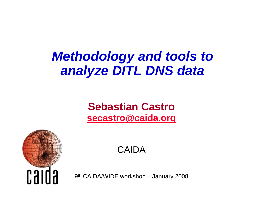# *Methodology and tools to analyze DITL DNS data*

#### **Sebastian Castro[secastro@caida.org](mailto:secastro@caida.org)**



CAIDA

9th CAIDA/WIDE workshop – January 2008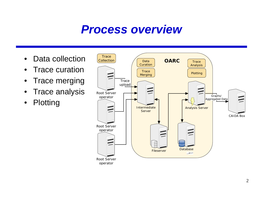## *Process overview*

- •Data collection
- •Trace curation
- $\bullet$ Trace merging
- •Trace analysis
- $\bullet$ Plotting

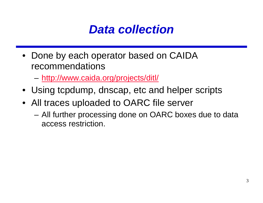

- Done by each operator based on CAIDA recommendations
	- –<http://www.caida.org/projects/ditl/>
- Using tcpdump, dnscap, etc and helper scripts
- All traces uploaded to OARC file server
	- All further processing done on OARC boxes due to data access restriction.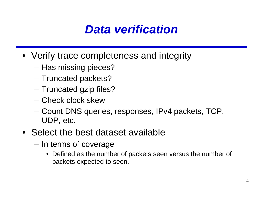## *Data verification*

- Verify trace completeness and integrity
	- Has missing pieces?
	- Truncated packets?
	- Truncated gzip files?
	- Check clock skew
	- Count DNS queries, responses, IPv4 packets, TCP, UDP, etc.
- Select the best dataset available
	- In terms of coverage
		- Defined as the number of packets seen versus the number of packets expected to seen.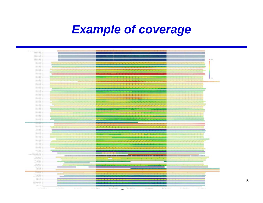## *Example of coverage*



**Lim** 

5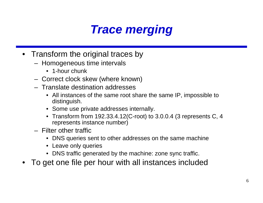# *Trace merging*

- Transform the original traces by
	- Homogeneous time intervals
		- 1-hour chunk
	- Correct clock skew (where known)
	- Translate destination addresses
		- All instances of the same root share the same IP, impossible to distinguish.
		- Some use private addresses internally.
		- Transform from 192.33.4.12(C-root) to 3.0.0.4 (3 represents C, 4 represents instance number)
	- Filter other traffic
		- DNS queries sent to other addresses on the same machine
		- Leave only queries
		- DNS traffic generated by the machine: zone sync traffic.
- •To get one file per hour with all instances included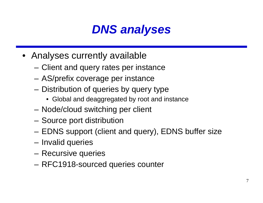# *DNS analyses*

- Analyses currently available
	- Client and query rates per instance
	- AS/prefix coverage per instance
	- Distribution of queries by query type
		- Global and deaggregated by root and instance
	- Node/cloud switching per client
	- –Source port distribution
	- –EDNS support (client and query), EDNS buffer size
	- Invalid queries
	- Recursive queries
	- RFC1918-sourced queries counter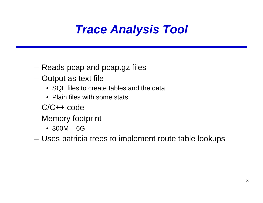# *Trace Analysis Tool*

- Reads pcap and pcap.gz files
- Output as text file
	- SQL files to create tables and the data
	- Plain files with some stats
- C/C++ code
- Memory footprint
	- 300M 6G
- Uses patricia trees to implement route table lookups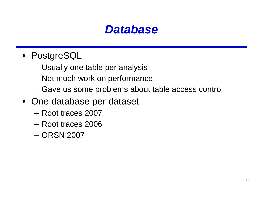### *Database*

- PostgreSQL
	- Usually one table per analysis
	- Not much work on performance
	- Gave us some problems about table access control
- One database per dataset
	- Root traces 2007
	- Root traces 2006
	- ORSN 2007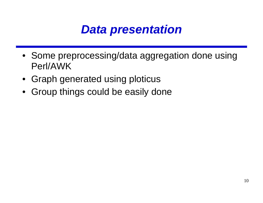## *Data presentation*

- Some preprocessing/data aggregation done using Perl/AWK
- Graph generated using ploticus
- Group things could be easily done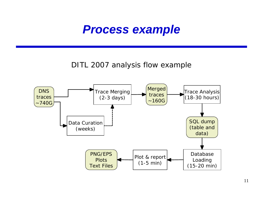#### *Process example*

#### DITL 2007 analysis flow example

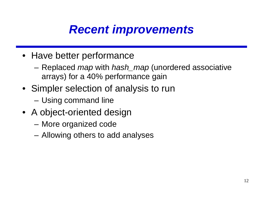# *Recent improvements*

- Have better performance
	- Replaced *map* with *hash\_map* (unordered associative arrays) for a 40% performance gain
- Simpler selection of analysis to run
	- Using command line
- A object-oriented design
	- More organized code
	- –Allowing others to add analyses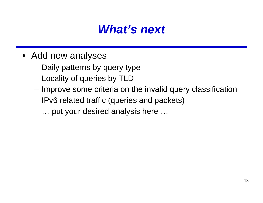## *What's next*

- Add new analyses
	- Daily patterns by query type
	- Locality of queries by TLD
	- Improve some criteria on the invalid query classification
	- –IPv6 related traffic (queries and packets)
	- … put your desired analysis here …